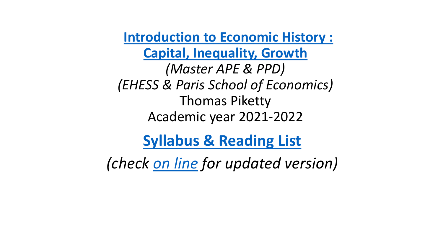**[Introduction to Economic History :](http://piketty.pse.ens.fr/files/PikettyEconHist2021Syllabus.pdf) Capital, Inequality, Growth** *(Master APE & PPD) (EHESS & Paris School of Economics)* Thomas Piketty Academic year 2021-2022

**[Syllabus & Reading List](http://piketty.pse.ens.fr/files/PikettyEconHist2021Syllabus.pdf)** 

*(check [on line](http://piketty.pse.ens.fr/files/PikettyEconHist2021Syllabus.pdf) for updated version)*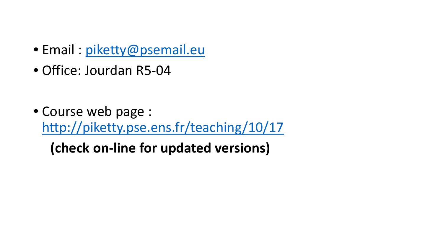- Email : [piketty@psemail.eu](mailto:piketty@psemail.eu)
- Office: Jourdan R5-04
- Course web page : <http://piketty.pse.ens.fr/teaching/10/17>

**(check on-line for updated versions)**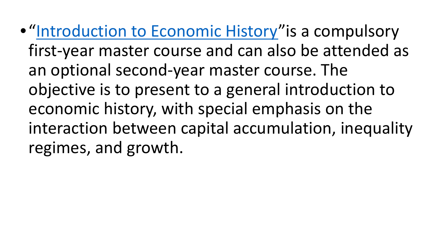**• ["Introduction to Economic History"](http://piketty.pse.ens.fr/teaching/10/17) is a compulsory** first-year master course and can also be attended as an optional second-year master course. The objective is to present to a general introduction to economic history, with special emphasis on the interaction between capital accumulation, inequality regimes, and growth.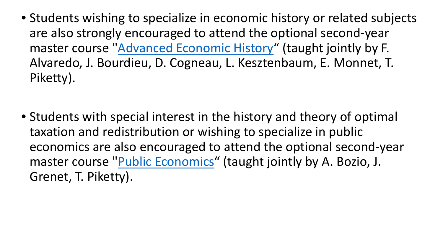- Students wishing to specialize in economic history or related subjects are also strongly encouraged to attend the optional second-year master course ["Advanced Economic History"](http://piketty.pse.ens.fr/teaching/10/107) (taught jointly by F. Alvaredo, J. Bourdieu, D. Cogneau, L. Kesztenbaum, E. Monnet, T. Piketty).
- Students with special interest in the history and theory of optimal taxation and redistribution or wishing to specialize in public economics are also encouraged to attend the optional second-year master course ["Public Economics](http://piketty.pse.ens.fr/teaching/10/18)" (taught jointly by A. Bozio, J. Grenet, T. Piketty).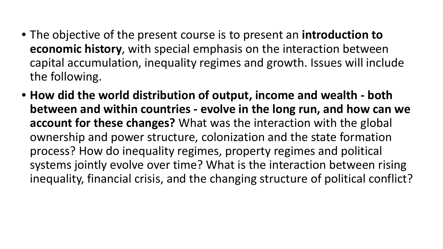- The objective of the present course is to present an **introduction to economic history**, with special emphasis on the interaction between capital accumulation, inequality regimes and growth. Issues will include the following.
- **How did the world distribution of output, income and wealth - both between and within countries - evolve in the long run, and how can we account for these changes?** What was the interaction with the global ownership and power structure, colonization and the state formation process? How do inequality regimes, property regimes and political systems jointly evolve over time? What is the interaction between rising inequality, financial crisis, and the changing structure of political conflict?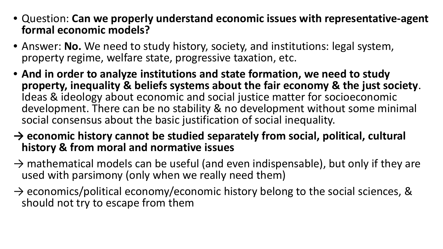- Question: **Can we properly understand economic issues with representative-agent formal economic models?**
- Answer: **No.** We need to study history, society, and institutions: legal system, property regime, welfare state, progressive taxation, etc.
- **And in order to analyze institutions and state formation, we need to study property, inequality & beliefs systems about the fair economy & the just society**. Ideas & ideology about economic and social justice matter for socioeconomic development. There can be no stability & no development without some minimal social consensus about the basic justification of social inequality.
- **→ economic history cannot be studied separately from social, political, cultural history & from moral and normative issues**
- $\rightarrow$  mathematical models can be useful (and even indispensable), but only if they are used with parsimony (only when we really need them)
- $\rightarrow$  economics/political economy/economic history belong to the social sciences, & should not try to escape from them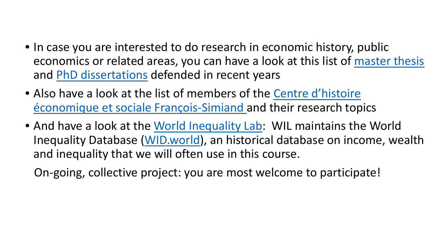- In case you are interested to do research in economic history, public economics or related areas, you can have a look at this list of [master thesis](http://piketty.pse.ens.fr/fr/enseignement/10-page-statique/19-memoires) and [PhD dissertations](http://piketty.pse.ens.fr/fr/enseignement/10-page-statique/20-theses) defended in recent years
- Also have a look at the list of members of the Centre d'histoire [économique et sociale François-Simiand and their](https://www.parisschoolofeconomics.eu/fr/recherche-academique/research-centers/centre-d-histoire-economique-et-sociale-francois-simiand/membres/) research topics
- And have a look at the [World Inequality Lab:](http://wid.world/world-inequality-lab/) WIL maintains the World Inequality Database [\(WID.world](http://wid.world/)), an historical database on income, wealth and inequality that we will often use in this course.

On-going, collective project: you are most welcome to participate!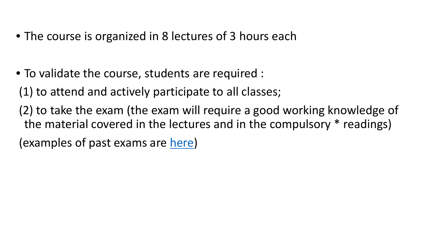- The course is organized in 8 lectures of 3 hours each
- To validate the course, students are required :
- (1) to attend and actively participate to all classes;
- (2) to take the exam (the exam will require a good working knowledge of the material covered in the lectures and in the compulsory \* readings)

(examples of past exams are [here](http://piketty.pse.ens.fr/files/ExamHE.zip))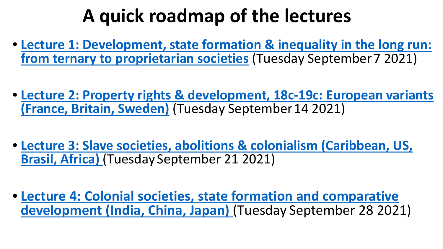# **A quick roadmap of the lectures**

- **[Lecture 1: Development, state formation & inequality in the long run:](http://piketty.pse.ens.fr/files/PikettyEconHist2021Lecture1.pdf) from ternary to proprietarian societies** (Tuesday September 7 2021)
- **[Lecture 2: Property rights & development, 18c-19c: European variants](http://piketty.pse.ens.fr/files/PikettyEconHist2021Lecture2.pdf)  (France, Britain, Sweden)** (Tuesday September 14 2021)
- **[Lecture 3: Slave societies, abolitions & colonialism \(Caribbean, US,](http://piketty.pse.ens.fr/files/PikettyEconHist2021Lecture3.pdf)  Brasil, Africa)** (Tuesday September 21 2021)
- **[Lecture 4: Colonial societies, state formation and comparative](http://piketty.pse.ens.fr/files/PikettyEconHist2021Lecture4.pdf)  development (India, China, Japan)** (Tuesday September 28 2021)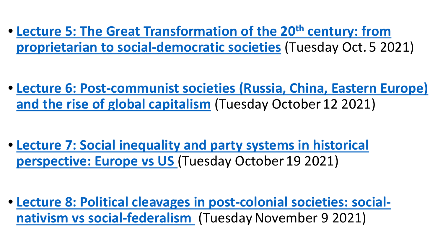• **[Lecture 5: The Great Transformation of the 20th](http://piketty.pse.ens.fr/files/PikettyEconHist2021Lecture5.pdf) century: from proprietarian to social-democratic societies** (Tuesday Oct. 5 2021)

• **[Lecture 6: Post-communist societies \(Russia, China, Eastern Europe\)](http://piketty.pse.ens.fr/files/PikettyEconHist2021Lecture6.pdf) and the rise of global capitalism** (Tuesday October 12 2021)

• **[Lecture 7: Social inequality and party systems in historical](http://piketty.pse.ens.fr/files/PikettyEconHist2021Lecture7.pdf) perspective: Europe vs US** (Tuesday October 19 2021)

• **[Lecture 8: Political cleavages in post-colonial societies: social](http://piketty.pse.ens.fr/files/PikettyEconHist2021Lecture8.pdf)nativism vs social-federalism** (Tuesday November 9 2021)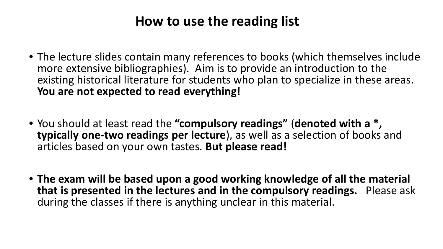### **How to use the reading list**

- The lecture slides contain many references to books (which themselves include more extensive bibliographies). Aim is to provide an introduction to the existing historical literature for students who plan to specialize in these areas. **You are not expected to read everything!**
- You should at least read the **"compulsory readings"** (**denoted with a \*, typically one-two readings per lecture**), as well as a selection of books and articles based on your own tastes. **But please read!**
- **The exam will be based upon a good working knowledge of all the material that is presented in the lectures and in the compulsory readings.** Please ask during the classes if there is anything unclear in this material.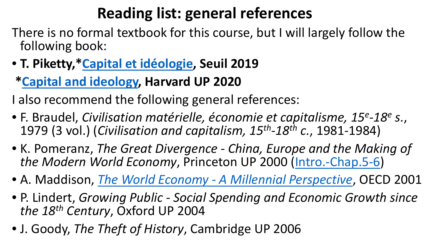## **Reading list: general references**

- There is no formal textbook for this course, but I will largely follow the following book:
- **T. Piketty,[\\*Capital et idéologie,](http://piketty.pse.ens.fr/ideologie) Seuil 2019**

### **\*[Capital and ideology,](http://piketty.pse.ens.fr/ideology) Harvard UP 2020**

I also recommend the following general references:

- F. Braudel, *Civilisation matérielle, économie et capitalisme, 15e-18e s.*, 1979 (3 vol.) (*Civilisation and capitalism, 15th-18th c.*, 1981-1984)
- K. Pomeranz, *The Great Divergence - China, Europe and the Making of the Modern World Economy*, Princeton UP 2000 [\(Intro.-Chap.5-6](http://piketty.pse.ens.fr/files/Pomeranz2000Chap5-6.pdf))
- A. Maddison, *The World Economy - [A Millennial Perspective](http://piketty.pse.ens.fr/files/Maddisson2001.pdf)*, OECD 2001
- P. Lindert, *Growing Public - Social Spending and Economic Growth since the 18th Century*, Oxford UP 2004
- J. Goody, *The Theft of History*, Cambridge UP 2006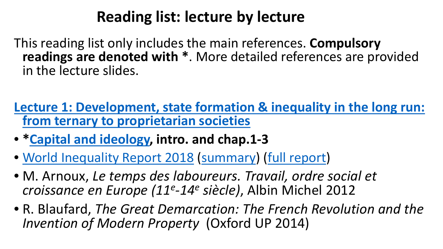### **Reading list: lecture by lecture**

This reading list only includes the main references. **Compulsory readings are denoted with \***. More detailed references are provided in the lecture slides.

**[Lecture 1: Development, state formation & inequality in the long run:](http://piketty.pse.ens.fr/files/PikettyEconHist2019Lecture1.pdf)  from ternary to proprietarian societies**

- **[\\*Capital and ideology,](http://piketty.pse.ens.fr/ideology) intro. and chap.1-3**
- [World Inequality Report 2018](http://wir2018.wid.world/) ([summary\)](https://wir2018.wid.world/files/download/wir2018-summary-english.pdf) [\(full report\)](https://wir2018.wid.world/files/download/wir2018-full-report-english.pdf)
- M. Arnoux, *Le temps des laboureurs. Travail, ordre social et croissance en Europe (11e-14e siècle)*, Albin Michel 2012
- R. Blaufard, *The Great Demarcation: The French Revolution and the Invention of Modern Property* (Oxford UP 2014)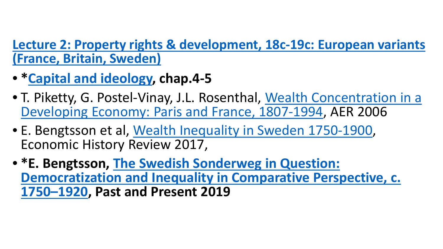#### **[Lecture 2: Property rights & development, 18c-19c: European variants](http://piketty.pse.ens.fr/files/PikettyEconHist2019Lecture2.pdf)  (France, Britain, Sweden)**

- **[\\*Capital and ideology,](http://piketty.pse.ens.fr/ideology) chap.4-5**
- [T. Piketty, G. Postel-Vinay, J.L. Rosenthal, Wealth Concentration in a](http://piketty.pse.ens.fr/fichiers/public/PikettyPostel2006.pdf) Developing Economy: Paris and France, 1807-1994, AER 2006
- E. Bengtsson et al, [Wealth Inequality in Sweden](http://piketty.pse.ens.fr/files/Bengtssonetal2017Sweden.pdf) 1750-1900, Economic History Review 2017,
- **\*E. Bengtsson, The Swedish Sonderweg in Question: [Democratization and Inequality in Comparative Perspective, c.](http://piketty.pse.ens.fr/files/Bengtsson2019.pdf)  1750–1920, Past and Present 2019**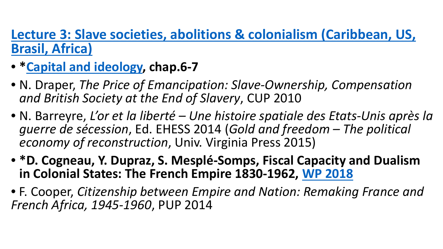### **[Lecture 3: Slave societies, abolitions & colonialism \(Caribbean, US,](http://piketty.pse.ens.fr/files/PikettyEconHist2019Lecture3.pdf) Brasil, Africa)**

- **\*[Capital and ideology,](http://piketty.pse.ens.fr/ideology) chap.6-7**
- N. Draper, *The Price of Emancipation: Slave-Ownership, Compensation and British Society at the End of Slavery*, CUP 2010
- N. Barreyre, *L'or et la liberté – Une histoire spatiale des Etats-Unis après la guerre de sécession*, Ed. EHESS 2014 (*Gold and freedom – The political economy of reconstruction*, Univ. Virginia Press 2015)
- **\*D. Cogneau, Y. Dupraz, S. Mesplé-Somps, Fiscal Capacity and Dualism in Colonial States: The French Empire 1830-1962, [WP 2018](http://piketty.pse.ens.fr/files/Cogneauetal2018.pdf)**
- F. Cooper, *Citizenship between Empire and Nation: Remaking France and French Africa, 1945-1960*, PUP 2014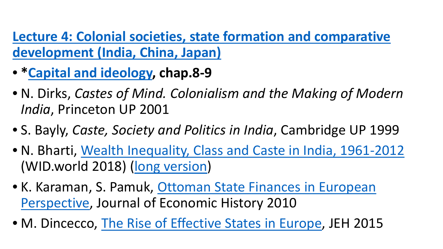**[Lecture 4: Colonial societies, state formation and comparative](http://piketty.pse.ens.fr/files/PikettyEconHist2019Lecture4.pdf)  development (India, China, Japan)** 

- **[\\*Capital and ideology,](http://piketty.pse.ens.fr/ideology) chap.8-9**
- N. Dirks, *Castes of Mind. Colonialism and the Making of Modern India*, Princeton UP 2001
- S. Bayly, *Caste, Society and Politics in India*, Cambridge UP 1999
- N. Bharti, [Wealth Inequality, Class and Caste in India, 1961-2012](https://wid.world/document/n-k-bharti-wealth-inequality-class-and-caste-in-india-1961-2012/) (WID.world 2018) [\(long version](http://piketty.pse.ens.fr/files/Bharti2018.pdf))
- [K. Karaman, S. Pamuk, Ottoman State Finances in European](http://piketty.pse.ens.fr/files/KaramanPamuk2010.pdf) Perspective, Journal of Economic History 2010
- M. Dincecco, [The Rise of Effective States in Europe,](http://piketty.pse.ens.fr/files/Dincecco2015.pdf) JEH 2015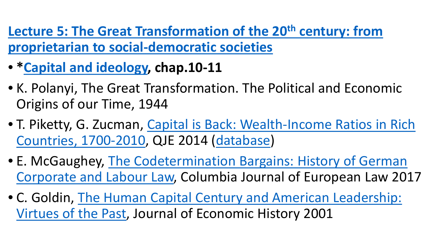Lecture 5: The Great Transformation of the 20<sup>th</sup> century: from **proprietarian to social-democratic societies**

- **[\\*Capital and ideology,](http://piketty.pse.ens.fr/ideology) chap.10-11**
- K. Polanyi, The Great Transformation. The Political and Economic Origins of our Time, 1944
- [T. Piketty, G. Zucman, Capital is Back: Wealth-Income Ratios in Rich](http://piketty.pse.ens.fr/fichiers/PikettyZucman2014QJE.pdf)  Countries, 1700-2010, QJE 2014 ([database\)](http://piketty.pse.ens.fr/capitalisback)
- E. McGaughey, The Codetermination Bargains: History of German [Corporate and Labour Law, Columbia Journal of European Law 201](http://piketty.pse.ens.fr/files/McGaughey2015b.pdf)7
- [C. Goldin, The Human Capital Century and American Leadership:](http://piketty.pse.ens.fr/files/Goldin2001JEH.pdf) Virtues of the Past, Journal of Economic History 2001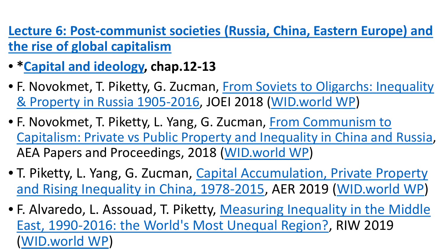**[Lecture 6: Post-communist societies \(Russia, China, Eastern Europe\) and](http://piketty.pse.ens.fr/files/PikettyEconHist2019Lecture6.pdf)  the rise of global capitalism**

- **\*[Capital and ideology,](http://piketty.pse.ens.fr/ideology) chap.12-13**
- [F. Novokmet, T. Piketty, G. Zucman, From Soviets to Oligarchs: Inequality](http://piketty.pse.ens.fr/files/NPZ2018JEI.pdf)  & Property in Russia 1905-2016, JOEI 2018 [\(WID.world WP\)](http://wid.world/document/soviets-oligarchs-inequality-property-russia-1905-2016/)
- F. Novokmet, T. Piketty, L. Yang, G. Zucman, From Communism to [Capitalism: Private vs Public Property and Inequality in China and Russia,](http://piketty.pse.ens.fr/files/NPYZ2018.pdf) AEA Papers and Proceedings, 2018 [\(WID.world WP\)](http://wid.world/wp-content/uploads/2018/01/NPYZ2018.pdf)
- T. Piketty, L. Yang, G. Zucman, Capital Accumulation, Private Property [and Rising Inequality in China, 1978-2015, AER 2019 \(WID.world WP\)](http://piketty.pse.ens.fr/files/PikettyYangZucman2019AER.pdf)
- [F. Alvaredo, L. Assouad, T. Piketty, Measuring Inequality in the Middle](http://piketty.pse.ens.fr/files/AAP2019RIW.pdf) East, 1990-2016: the World's Most Unequal Region?, RIW 2019 ([WID.world WP\)](http://wid.world/document/alvaredoassouadpiketty-middleeast-widworldwp201715/)